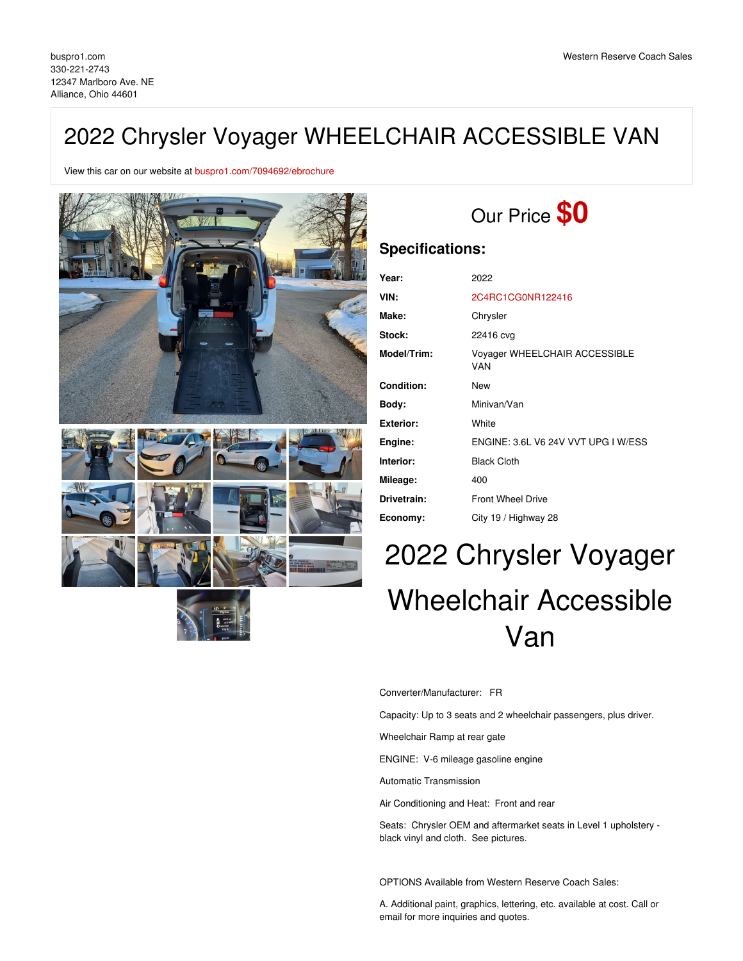# 2022 Chrysler Voyager WHEELCHAIR ACCESSIBLE VAN

View this car on our website at [buspro1.com/7094692/ebrochure](https://buspro1.com/vehicle/7094692/2022-chrysler-voyager-wheelchair-accessible-van-alliance-ohio-44601/7094692/ebrochure)



# Our Price **\$0**

# **Specifications:**

| Year:            | 2022                                 |
|------------------|--------------------------------------|
| VIN:             | 2C4RC1CG0NR122416                    |
| Make:            | Chrysler                             |
| Stock:           | 22416 cvg                            |
| Model/Trim:      | Voyager WHEELCHAIR ACCESSIBLE<br>VAN |
| Condition:       | New                                  |
| Body:            | Minivan/Van                          |
| <b>Exterior:</b> | White                                |
| Engine:          | ENGINE: 3.6L V6 24V VVT UPG I W/ESS  |
| Interior:        | <b>Black Cloth</b>                   |
| Mileage:         | 400                                  |
| Drivetrain:      | <b>Front Wheel Drive</b>             |
| Economy:         | City 19 / Highway 28                 |

# 2022 Chrysler Voyager Wheelchair Accessible Van

Converter/Manufacturer: FR

Capacity: Up to 3 seats and 2 wheelchair passengers, plus driver.

Wheelchair Ramp at rear gate

ENGINE: V-6 mileage gasoline engine

Automatic Transmission

Air Conditioning and Heat: Front and rear

Seats: Chrysler OEM and aftermarket seats in Level 1 upholstery black vinyl and cloth. See pictures.

OPTIONS Available from Western Reserve Coach Sales:

A. Additional paint, graphics, lettering, etc. available at cost. Call or email for more inquiries and quotes.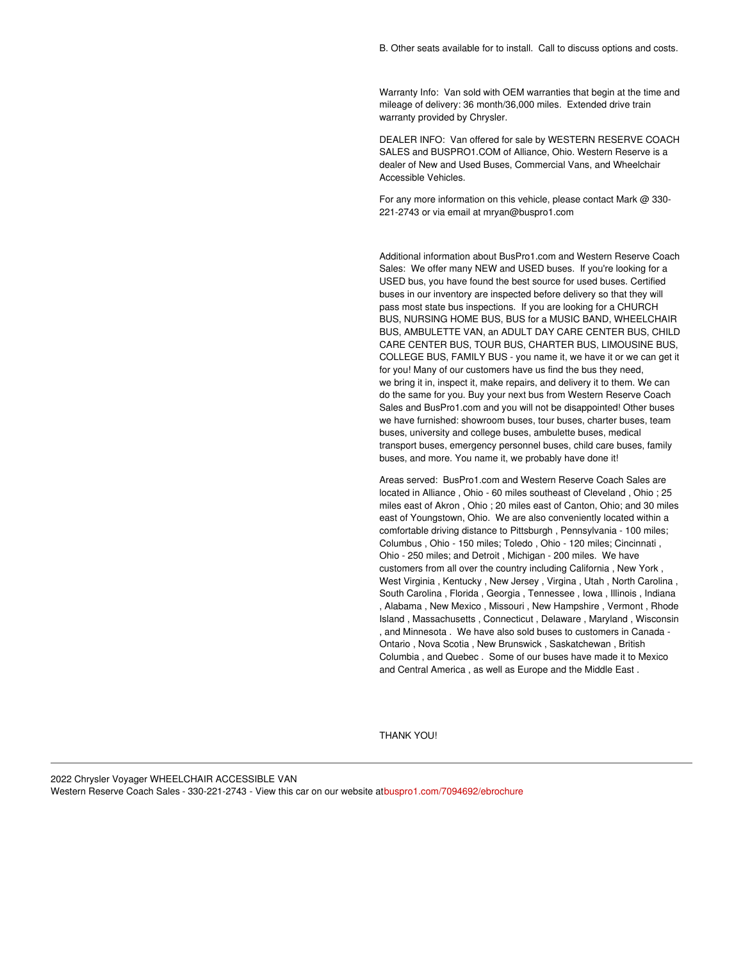Warranty Info: Van sold with OEM warranties that begin at the time and mileage of delivery: 36 month/36,000 miles. Extended drive train warranty provided by Chrysler.

DEALER INFO: Van offered for sale by WESTERN RESERVE COACH SALES and BUSPRO1.COM of Alliance, Ohio. Western Reserve is a dealer of New and Used Buses, Commercial Vans, and Wheelchair Accessible Vehicles.

For any more information on this vehicle, please contact Mark @ 330- 221-2743 or via email at mryan@buspro1.com

Additional information about BusPro1.com and Western Reserve Coach Sales: We offer many NEW and USED buses. If you're looking for a USED bus, you have found the best source for used buses. Certified buses in our inventory are inspected before delivery so that they will pass most state bus inspections. If you are looking for a CHURCH BUS, NURSING HOME BUS, BUS for a MUSIC BAND, WHEELCHAIR BUS, AMBULETTE VAN, an ADULT DAY CARE CENTER BUS, CHILD CARE CENTER BUS, TOUR BUS, CHARTER BUS, LIMOUSINE BUS, COLLEGE BUS, FAMILY BUS - you name it, we have it or we can get it for you! Many of our customers have us find the bus they need, we bring it in, inspect it, make repairs, and delivery it to them. We can do the same for you. Buy your next bus from Western Reserve Coach Sales and BusPro1.com and you will not be disappointed! Other buses we have furnished: showroom buses, tour buses, charter buses, team buses, university and college buses, ambulette buses, medical transport buses, emergency personnel buses, child care buses, family buses, and more. You name it, we probably have done it!

Areas served: BusPro1.com and Western Reserve Coach Sales are located in Alliance , Ohio - 60 miles southeast of Cleveland , Ohio ; 25 miles east of Akron , Ohio ; 20 miles east of Canton, Ohio; and 30 miles east of Youngstown, Ohio. We are also conveniently located within a comfortable driving distance to Pittsburgh , Pennsylvania - 100 miles; Columbus , Ohio - 150 miles; Toledo , Ohio - 120 miles; Cincinnati , Ohio - 250 miles; and Detroit , Michigan - 200 miles. We have customers from all over the country including California , New York , West Virginia , Kentucky , New Jersey , Virgina , Utah , North Carolina , South Carolina , Florida , Georgia , Tennessee , Iowa , Illinois , Indiana , Alabama , New Mexico , Missouri , New Hampshire , Vermont , Rhode Island , Massachusetts , Connecticut , Delaware , Maryland , Wisconsin , and Minnesota . We have also sold buses to customers in Canada - Ontario , Nova Scotia , New Brunswick , Saskatchewan , British Columbia , and Quebec . Some of our buses have made it to Mexico and Central America , as well as Europe and the Middle East .

THANK YOU!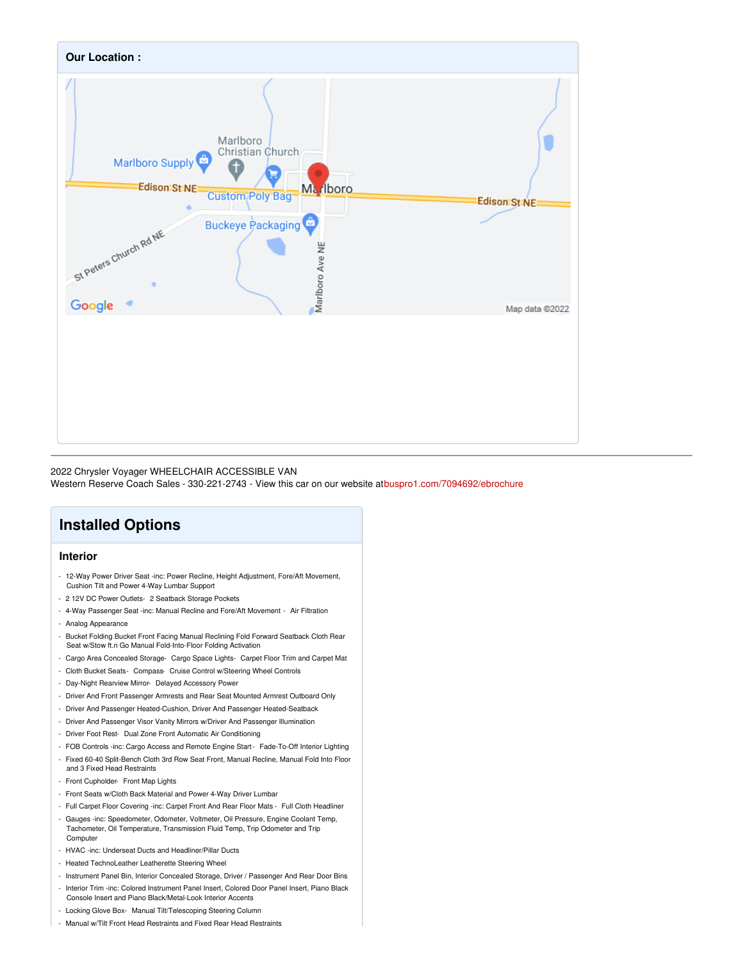

#### 2022 Chrysler Voyager WHEELCHAIR ACCESSIBLE VAN

Western Reserve Coach Sales - 330-221-2743 - View this car on our website a[tbuspro1.com/7094692/ebrochure](https://buspro1.com/vehicle/7094692/2022-chrysler-voyager-wheelchair-accessible-van-alliance-ohio-44601/7094692/ebrochure)

# **Installed Options**

## **Interior**

- 12-Way Power Driver Seat -inc: Power Recline, Height Adjustment, Fore/Aft Movement, Cushion Tilt and Power 4-Way Lumbar Support
- 2 12V DC Power Outlets- 2 Seatback Storage Pockets
- 4-Way Passenger Seat -inc: Manual Recline and Fore/Aft Movement Air Filtration
- Analog Appearance
- Bucket Folding Bucket Front Facing Manual Reclining Fold Forward Seatback Cloth Rear Seat w/Stow ft.n Go Manual Fold-Into-Floor Folding Activation
- Cargo Area Concealed Storage- Cargo Space Lights- Carpet Floor Trim and Carpet Mat
- Cloth Bucket Seats- Compass- Cruise Control w/Steering Wheel Controls
- Day-Night Rearview Mirror- Delayed Accessory Power
- Driver And Front Passenger Armrests and Rear Seat Mounted Armrest Outboard Only
- Driver And Passenger Heated-Cushion, Driver And Passenger Heated-Seatback
- Driver And Passenger Visor Vanity Mirrors w/Driver And Passenger Illumination
- Driver Foot Rest- Dual Zone Front Automatic Air Conditioning
- FOB Controls -inc: Cargo Access and Remote Engine Start- Fade-To-Off Interior Lighting
- Fixed 60-40 Split-Bench Cloth 3rd Row Seat Front, Manual Recline, Manual Fold Into Floor and 3 Fixed Head Restraints
- Front Cupholder- Front Map Lights
- Front Seats w/Cloth Back Material and Power 4-Way Driver Lumbar
- Full Carpet Floor Covering -inc: Carpet Front And Rear Floor Mats Full Cloth Headliner
- Gauges -inc: Speedometer, Odometer, Voltmeter, Oil Pressure, Engine Coolant Temp, Tachometer, Oil Temperature, Transmission Fluid Temp, Trip Odometer and Trip **Computer**
- HVAC -inc: Underseat Ducts and Headliner/Pillar Ducts
- Heated TechnoLeather Leatherette Steering Wheel
- Instrument Panel Bin, Interior Concealed Storage, Driver / Passenger And Rear Door Bins
- Interior Trim -inc: Colored Instrument Panel Insert, Colored Door Panel Insert, Piano Black Console Insert and Piano Black/Metal-Look Interior Accents
- Locking Glove Box- Manual Tilt/Telescoping Steering Column
- Manual w/Tilt Front Head Restraints and Fixed Rear Head Restraints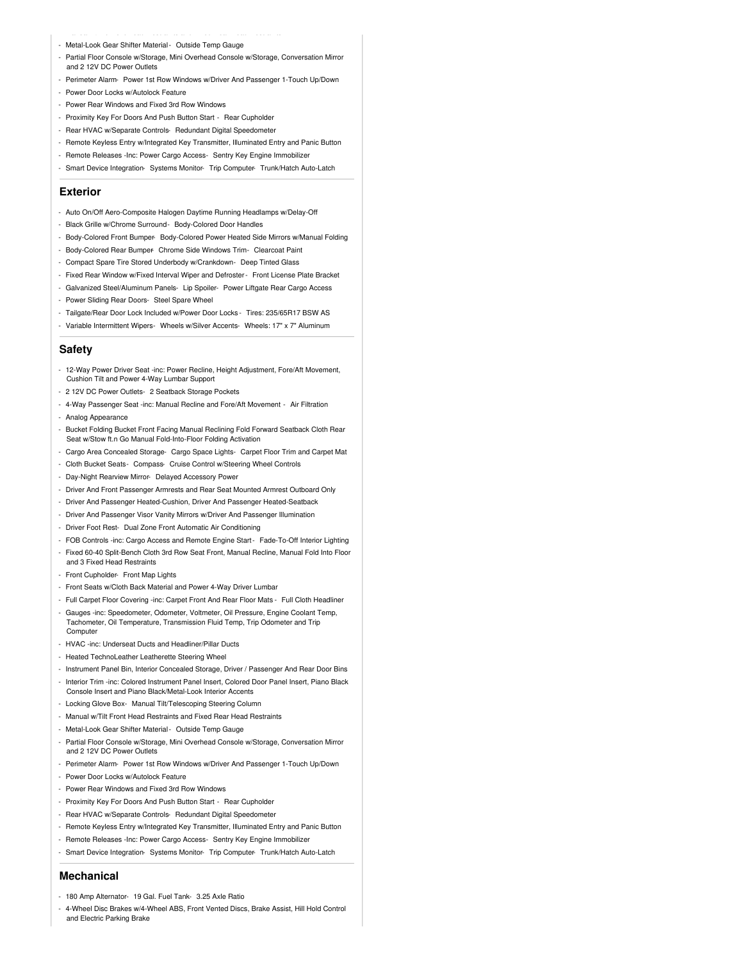- Metal-Look Gear Shifter Material- Outside Temp Gauge
- Partial Floor Console w/Storage, Mini Overhead Console w/Storage, Conversation Mirror and 2 12V DC Power Outlets
- Perimeter Alarm- Power 1st Row Windows w/Driver And Passenger 1-Touch Up/Down
- Power Door Locks w/Autolock Feature
- Power Rear Windows and Fixed 3rd Row Windows
- Proximity Key For Doors And Push Button Start Rear Cupholder
- Rear HVAC w/Separate Controls- Redundant Digital Speedometer
- Remote Keyless Entry w/Integrated Key Transmitter, Illuminated Entry and Panic Button
- Remote Releases -Inc: Power Cargo Access- Sentry Key Engine Immobilizer
- Smart Device Integration- Systems Monitor- Trip Computer- Trunk/Hatch Auto-Latch

## **Exterior**

- Auto On/Off Aero-Composite Halogen Daytime Running Headlamps w/Delay-Off
- Black Grille w/Chrome Surround- Body-Colored Door Handles
- Body-Colored Front Bumper- Body-Colored Power Heated Side Mirrors w/Manual Folding
- Body-Colored Rear Bumper Chrome Side Windows Trim- Clearcoat Paint
- Compact Spare Tire Stored Underbody w/Crankdown- Deep Tinted Glass
- Fixed Rear Window w/Fixed Interval Wiper and Defroster- Front License Plate Bracket
- Galvanized Steel/Aluminum Panels- Lip Spoiler- Power Liftgate Rear Cargo Access
- Power Sliding Rear Doors- Steel Spare Wheel
- Tailgate/Rear Door Lock Included w/Power Door Locks Tires: 235/65R17 BSW AS
- Variable Intermittent Wipers- Wheels w/Silver Accents- Wheels: 17" x 7" Aluminum

### **Safety**

- 12-Way Power Driver Seat -inc: Power Recline, Height Adjustment, Fore/Aft Movement, Cushion Tilt and Power 4-Way Lumbar Support
- 2 12V DC Power Outlets- 2 Seatback Storage Pockets
- 4-Way Passenger Seat -inc: Manual Recline and Fore/Aft Movement Air Filtration
- Analog Appearance
- Bucket Folding Bucket Front Facing Manual Reclining Fold Forward Seatback Cloth Rear Seat w/Stow ft.n Go Manual Fold-Into-Floor Folding Activation
- Cargo Area Concealed Storage- Cargo Space Lights- Carpet Floor Trim and Carpet Mat
- Cloth Bucket Seats- Compass- Cruise Control w/Steering Wheel Controls
- Day-Night Rearview Mirror- Delayed Accessory Power
- Driver And Front Passenger Armrests and Rear Seat Mounted Armrest Outboard Only
- Driver And Passenger Heated-Cushion, Driver And Passenger Heated-Seatback
- Driver And Passenger Visor Vanity Mirrors w/Driver And Passenger Illumination
- Driver Foot Rest- Dual Zone Front Automatic Air Conditioning
- FOB Controls -inc: Cargo Access and Remote Engine Start- Fade-To-Off Interior Lighting
- Fixed 60-40 Split-Bench Cloth 3rd Row Seat Front, Manual Recline, Manual Fold Into Floor
- and 3 Fixed Head Restraints
- Front Cupholder- Front Map Lights
- Front Seats w/Cloth Back Material and Power 4-Way Driver Lumbar
- Full Carpet Floor Covering -inc: Carpet Front And Rear Floor Mats Full Cloth Headliner
- Gauges -inc: Speedometer, Odometer, Voltmeter, Oil Pressure, Engine Coolant Temp, Tachometer, Oil Temperature, Transmission Fluid Temp, Trip Odometer and Trip **Computer**
- HVAC -inc: Underseat Ducts and Headliner/Pillar Ducts
- Heated TechnoLeather Leatherette Steering Wheel
- Instrument Panel Bin, Interior Concealed Storage, Driver / Passenger And Rear Door Bins
- Interior Trim -inc: Colored Instrument Panel Insert, Colored Door Panel Insert, Piano Black Console Insert and Piano Black/Metal-Look Interior Accents
- Locking Glove Box- Manual Tilt/Telescoping Steering Column
- Manual w/Tilt Front Head Restraints and Fixed Rear Head Restraints
- Metal-Look Gear Shifter Material- Outside Temp Gauge
- Partial Floor Console w/Storage, Mini Overhead Console w/Storage, Conversation Mirror and 2 12V DC Power Outlets
- Perimeter Alarm- Power 1st Row Windows w/Driver And Passenger 1-Touch Up/Down
- Power Door Locks w/Autolock Feature
- Power Rear Windows and Fixed 3rd Row Windows
- Proximity Key For Doors And Push Button Start Rear Cupholder
- Rear HVAC w/Separate Controls- Redundant Digital Speedometer
- Remote Keyless Entry w/Integrated Key Transmitter, Illuminated Entry and Panic Button
- Remote Releases -Inc: Power Cargo Access- Sentry Key Engine Immobilizer
- Smart Device Integration- Systems Monitor- Trip Computer- Trunk/Hatch Auto-Latch

#### **Mechanical**

- 180 Amp Alternator- 19 Gal. Fuel Tank- 3.25 Axle Ratio
- 4-Wheel Disc Brakes w/4-Wheel ABS, Front Vented Discs, Brake Assist, Hill Hold Control and Electric Parking Brake